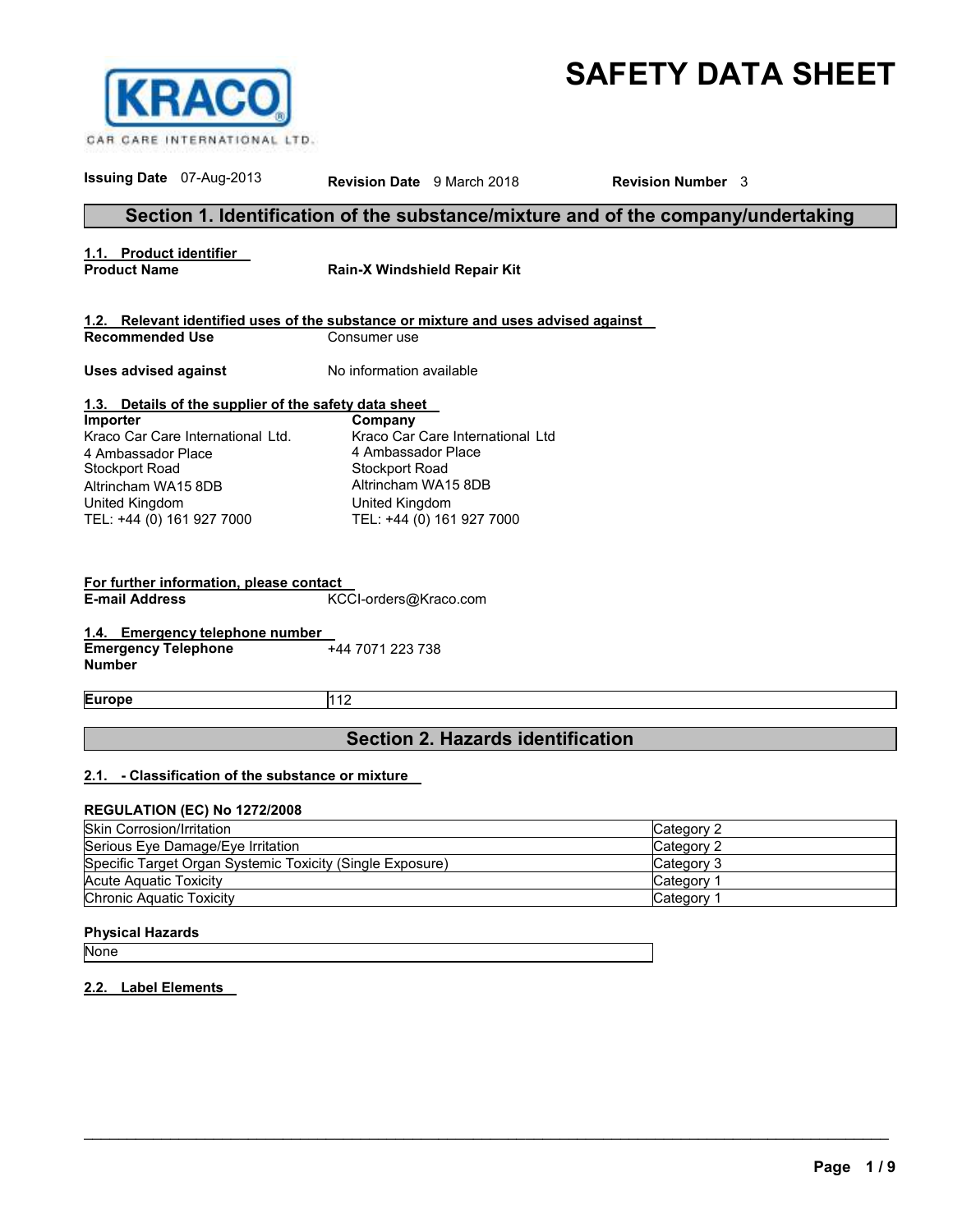# **SAFETY DATA SHEET**



| <b>Issuing Date</b> 07-Aug-2013                                                                                                                                    | <b>Revision Date</b> 9 March 2018                                                                                                                                | <b>Revision Number</b> 3 |
|--------------------------------------------------------------------------------------------------------------------------------------------------------------------|------------------------------------------------------------------------------------------------------------------------------------------------------------------|--------------------------|
|                                                                                                                                                                    | Section 1. Identification of the substance/mixture and of the company/undertaking                                                                                |                          |
| 1.1. Product identifier<br><b>Product Name</b>                                                                                                                     | Rain-X Windshield Repair Kit                                                                                                                                     |                          |
|                                                                                                                                                                    | 1.2. Relevant identified uses of the substance or mixture and uses advised against                                                                               |                          |
| <b>Recommended Use</b>                                                                                                                                             | Consumer use                                                                                                                                                     |                          |
| <b>Uses advised against</b>                                                                                                                                        | No information available                                                                                                                                         |                          |
| 1.3. Details of the supplier of the safety data sheet                                                                                                              |                                                                                                                                                                  |                          |
| Importer<br>Kraco Car Care International Ltd.<br>4 Ambassador Place<br><b>Stockport Road</b><br>Altrincham WA15 8DB<br>United Kingdom<br>TEL: +44 (0) 161 927 7000 | Company<br>Kraco Car Care International Ltd<br>4 Ambassador Place<br><b>Stockport Road</b><br>Altrincham WA15 8DB<br>United Kingdom<br>TEL: +44 (0) 161 927 7000 |                          |
| For further information, please contact<br><b>E-mail Address</b>                                                                                                   | KCCI-orders@Kraco.com                                                                                                                                            |                          |
| 1.4. Emergency telephone number<br><b>Emergency Telephone</b><br><b>Number</b>                                                                                     | +44 7071 223 738                                                                                                                                                 |                          |
| <b>Europe</b>                                                                                                                                                      | 112                                                                                                                                                              |                          |
|                                                                                                                                                                    | <b>Section 2. Hazards identification</b>                                                                                                                         |                          |
| 2.1. - Classification of the substance or mixture<br><b>REGULATION (EC) No 1272/2008</b>                                                                           |                                                                                                                                                                  |                          |
| <b>Skin Corrosion/Irritation</b>                                                                                                                                   |                                                                                                                                                                  | Category 2               |
| Serious Eye Damage/Eye Irritation                                                                                                                                  |                                                                                                                                                                  | Category 2               |
| Specific Target Organ Systemic Toxicity (Single Exposure)                                                                                                          |                                                                                                                                                                  | Category 3               |
| <b>Acute Aquatic Toxicity</b>                                                                                                                                      |                                                                                                                                                                  | Category 1               |
| Chronic Aquatic Toxicity                                                                                                                                           |                                                                                                                                                                  | Category 1               |

\_\_\_\_\_\_\_\_\_\_\_\_\_\_\_\_\_\_\_\_\_\_\_\_\_\_\_\_\_\_\_\_\_\_\_\_\_\_\_\_\_\_\_\_\_\_\_\_\_\_\_\_\_\_\_\_\_\_\_\_\_\_\_\_\_\_\_\_\_\_\_\_\_\_\_\_\_\_\_\_\_\_\_\_\_\_\_\_\_\_\_\_\_

### **Physical Hazards**

None

### **2.2. Label Elements**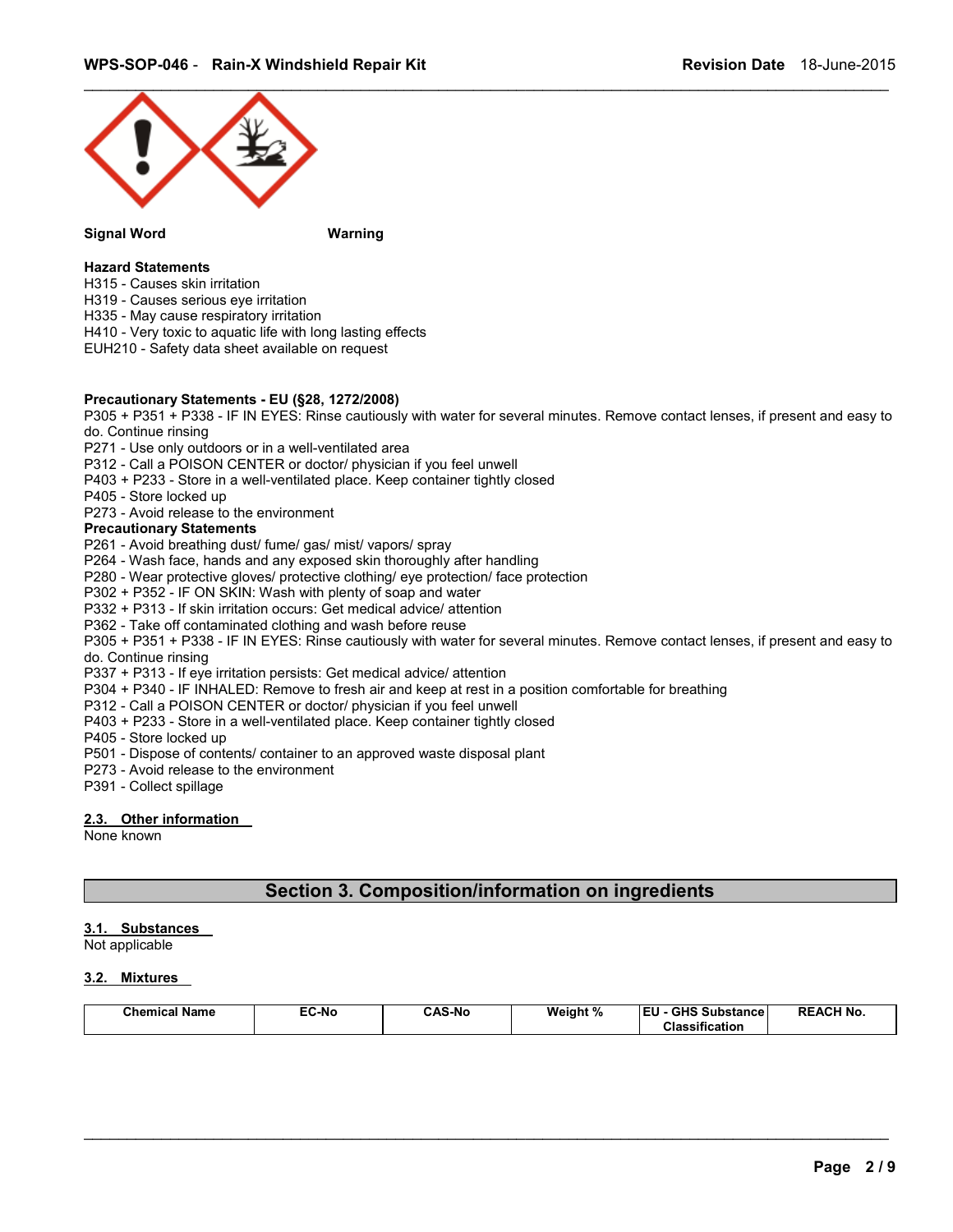

#### **Signal Word Warning**

### **Hazard Statements**

- H315 Causes skin irritation
- H319 Causes serious eye irritation
- H335 May cause respiratory irritation
- H410 Very toxic to aquatic life with long lasting effects
- EUH210 Safety data sheet available on request

### **Precautionary Statements - EU (§28, 1272/2008)**

P305 + P351 + P338 - IF IN EYES: Rinse cautiously with water for several minutes. Remove contact lenses, if present and easy to do. Continue rinsing

- P271 Use only outdoors or in a well-ventilated area
- P312 Call a POISON CENTER or doctor/ physician if you feel unwell
- P403 + P233 Store in a well-ventilated place. Keep container tightly closed
- P405 Store locked up
- P273 Avoid release to the environment

### **Precautionary Statements**

- P261 Avoid breathing dust/ fume/ gas/ mist/ vapors/ spray
- P264 Wash face, hands and any exposed skin thoroughly after handling
- P280 Wear protective gloves/ protective clothing/ eye protection/ face protection
- P302 + P352 IF ON SKIN: Wash with plenty of soap and water
- P332 + P313 If skin irritation occurs: Get medical advice/ attention
- P362 Take off contaminated clothing and wash before reuse
- P305 + P351 + P338 IF IN EYES: Rinse cautiously with water for several minutes. Remove contact lenses, if present and easy to do. Continue rinsing
- P337 + P313 If eye irritation persists: Get medical advice/ attention
- P304 + P340 IF INHALED: Remove to fresh air and keep at rest in a position comfortable for breathing
- P312 Call a POISON CENTER or doctor/ physician if you feel unwell
- P403 + P233 Store in a well-ventilated place. Keep container tightly closed
- P405 Store locked up
- P501 Dispose of contents/ container to an approved waste disposal plant
- P273 Avoid release to the environment
- P391 Collect spillage

### **2.3. Other information**

None known

### **Section 3. Composition/information on ingredients**

#### **3.1. Substances**

Not applicable

### **3.2. Mixtures**

| <b>Chemical Name</b> | EC-No | <b>CAS-No</b> | Weight % | <b>IEU - GHS Substance</b> | <b>REACH No.</b> |
|----------------------|-------|---------------|----------|----------------------------|------------------|
|                      |       |               |          | <b>Classification</b>      |                  |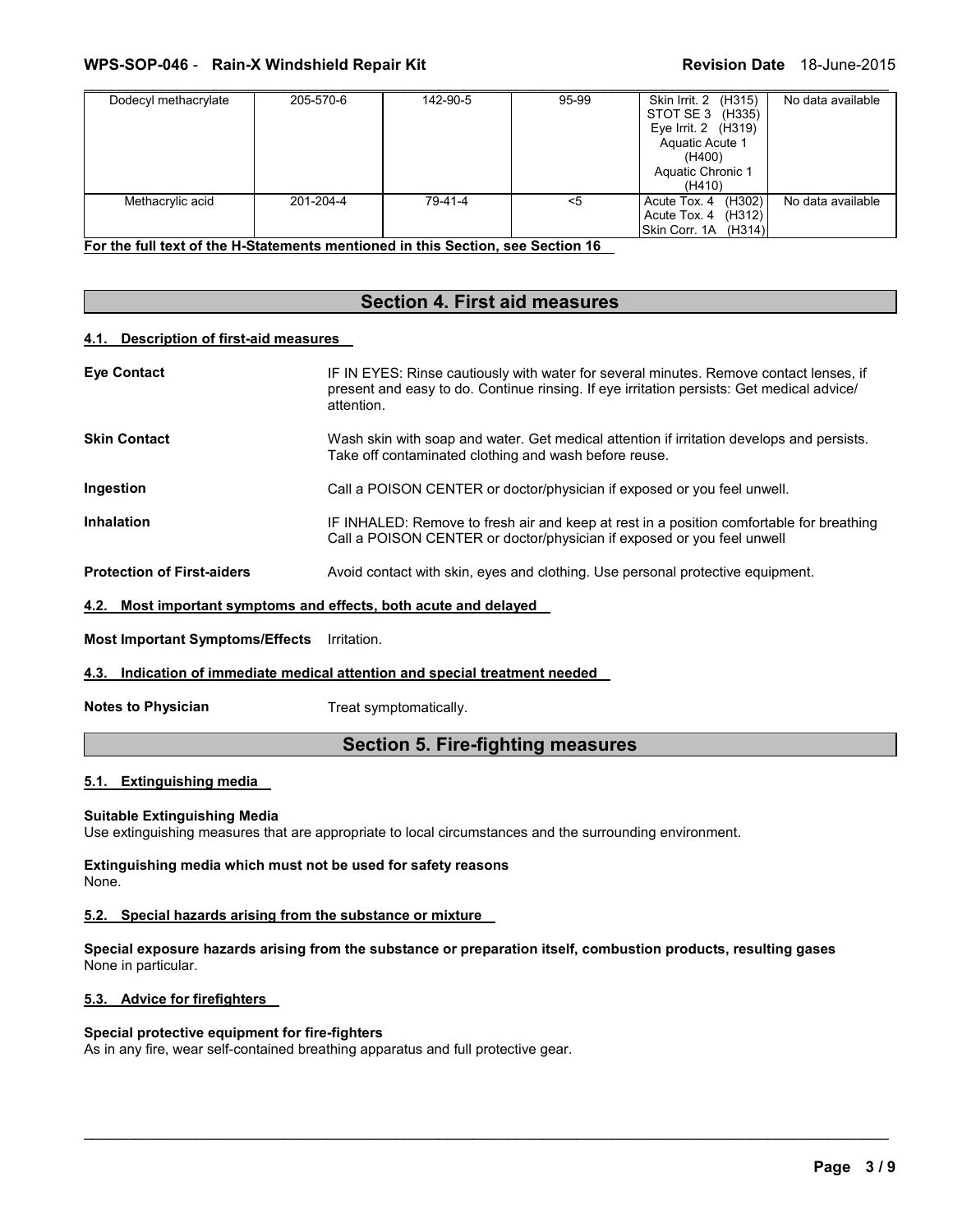### **WPS-SOP-046 - Rain-X Windshield Repair Kit New York Revision Date 18-June-2015**

| Dodecyl methacrylate                                                                                | 205-570-6 | 142-90-5 | 95-99 | Skin Irrit. 2<br>(H315)<br>STOT SE 3 (H335)<br>Eye Irrit. 2 (H319)<br>Aquatic Acute 1<br>(H400)<br>Aquatic Chronic 1<br>(H410) | No data available |
|-----------------------------------------------------------------------------------------------------|-----------|----------|-------|--------------------------------------------------------------------------------------------------------------------------------|-------------------|
| Methacrylic acid<br>For the full text of the H-Statements mentioned in this Section, see Section 16 | 201-204-4 | 79-41-4  | $5$   | (H302)<br>Acute Tox. 4<br>Acute Tox. 4 (H312)<br>Skin Corr. 1A (H314)                                                          | No data available |

<u>Statements mentioned in this Section, see Section</u>

### **Section 4. First aid measures**

### **4.1. Description of first-aid measures**

| <b>Eve Contact</b>                     | IF IN EYES: Rinse cautiously with water for several minutes. Remove contact lenses, if<br>present and easy to do. Continue rinsing. If eye irritation persists: Get medical advice/<br>attention. |
|----------------------------------------|---------------------------------------------------------------------------------------------------------------------------------------------------------------------------------------------------|
| <b>Skin Contact</b>                    | Wash skin with soap and water. Get medical attention if irritation develops and persists.<br>Take off contaminated clothing and wash before reuse.                                                |
| Ingestion                              | Call a POISON CENTER or doctor/physician if exposed or you feel unwell.                                                                                                                           |
| <b>Inhalation</b>                      | IF INHALED: Remove to fresh air and keep at rest in a position comfortable for breathing<br>Call a POISON CENTER or doctor/physician if exposed or you feel unwell                                |
| <b>Protection of First-aiders</b>      | Avoid contact with skin, eyes and clothing. Use personal protective equipment.                                                                                                                    |
| 4.2.                                   | Most important symptoms and effects, both acute and delayed                                                                                                                                       |
| <b>Most Important Symptoms/Effects</b> | Irritation.                                                                                                                                                                                       |

**4.3. Indication of immediate medical attention and special treatment needed** 

**Notes to Physician**  Treat symptomatically.

### **Section 5. Fire-fighting measures**

### **5.1. Extinguishing media**

### **Suitable Extinguishing Media**

Use extinguishing measures that are appropriate to local circumstances and the surrounding environment.

**Extinguishing media which must not be used for safety reasons** None.

### **5.2. Special hazards arising from the substance or mixture**

**Special exposure hazards arising from the substance or preparation itself, combustion products, resulting gases** None in particular.

\_\_\_\_\_\_\_\_\_\_\_\_\_\_\_\_\_\_\_\_\_\_\_\_\_\_\_\_\_\_\_\_\_\_\_\_\_\_\_\_\_\_\_\_\_\_\_\_\_\_\_\_\_\_\_\_\_\_\_\_\_\_\_\_\_\_\_\_\_\_\_\_\_\_\_\_\_\_\_\_\_\_\_\_\_\_\_\_\_\_\_\_\_

### **5.3. Advice for firefighters**

### **Special protective equipment for fire-fighters**

As in any fire, wear self-contained breathing apparatus and full protective gear.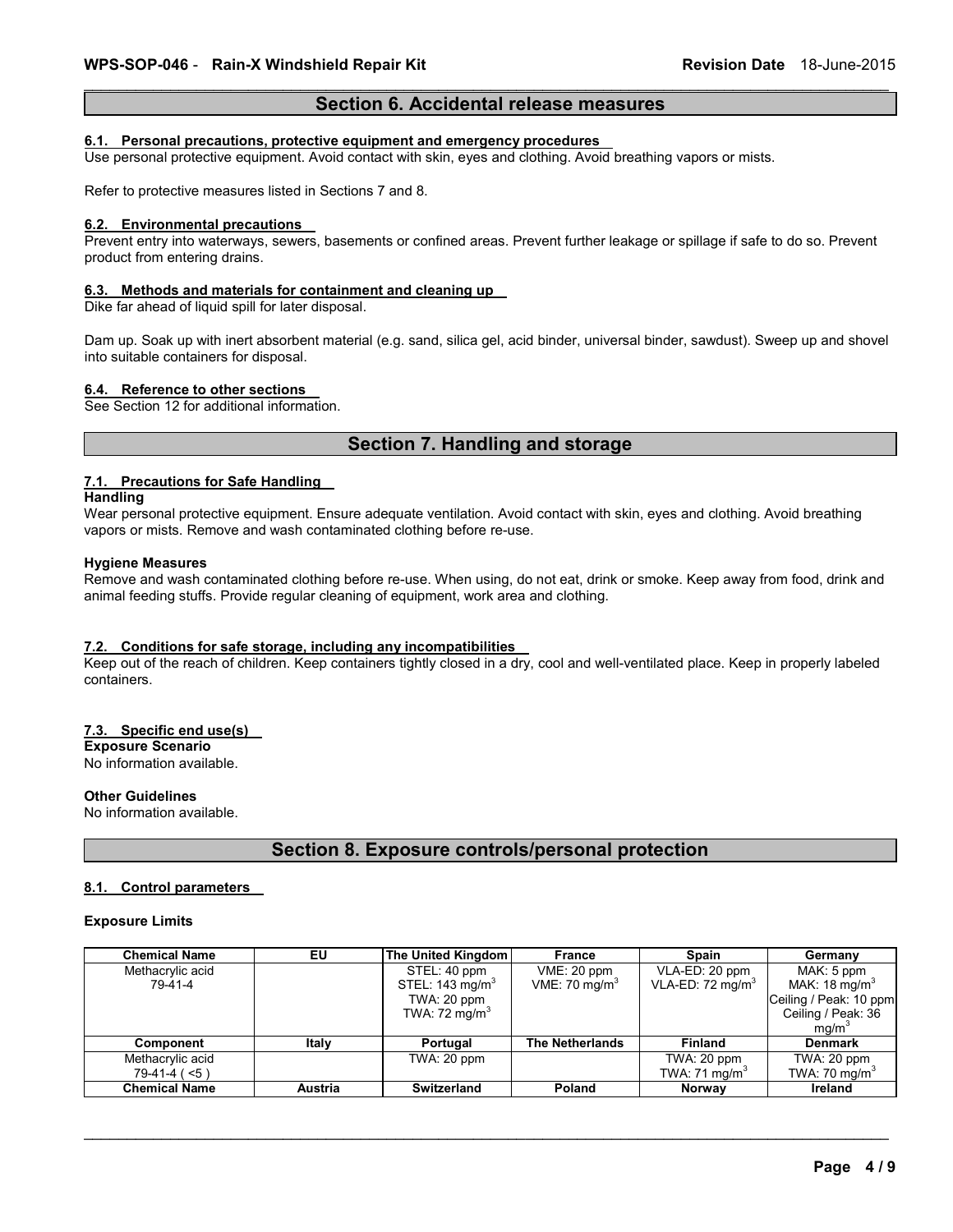### \_\_\_\_\_\_\_\_\_\_\_\_\_\_\_\_\_\_\_\_\_\_\_\_\_\_\_\_\_\_\_\_\_\_\_\_\_\_\_\_\_\_\_\_\_\_\_\_\_\_\_\_\_\_\_\_\_\_\_\_\_\_\_\_\_\_\_\_\_\_\_\_\_\_\_\_\_\_\_\_\_\_\_\_\_\_\_\_\_\_\_\_\_ **Section 6. Accidental release measures**

#### **6.1. Personal precautions, protective equipment and emergency procedures**

Use personal protective equipment. Avoid contact with skin, eyes and clothing. Avoid breathing vapors or mists.

Refer to protective measures listed in Sections 7 and 8.

#### **6.2. Environmental precautions**

Prevent entry into waterways, sewers, basements or confined areas. Prevent further leakage or spillage if safe to do so. Prevent product from entering drains.

#### **6.3. Methods and materials for containment and cleaning up**

Dike far ahead of liquid spill for later disposal.

Dam up. Soak up with inert absorbent material (e.g. sand, silica gel, acid binder, universal binder, sawdust). Sweep up and shovel into suitable containers for disposal.

#### **6.4. Reference to other sections**

See Section 12 for additional information.

### **Section 7. Handling and storage**

### **7.1. Precautions for Safe Handling**

**Handling**

Wear personal protective equipment. Ensure adequate ventilation. Avoid contact with skin, eyes and clothing. Avoid breathing vapors or mists. Remove and wash contaminated clothing before re-use.

#### **Hygiene Measures**

Remove and wash contaminated clothing before re-use. When using, do not eat, drink or smoke. Keep away from food, drink and animal feeding stuffs. Provide regular cleaning of equipment, work area and clothing.

### **7.2. Conditions for safe storage, including any incompatibilities**

Keep out of the reach of children. Keep containers tightly closed in a dry, cool and well-ventilated place. Keep in properly labeled containers.

### **7.3. Specific end use(s)**

**Exposure Scenario**

No information available.

### **Other Guidelines**

No information available.

### **Section 8. Exposure controls/personal protection**

#### **8.1. Control parameters**

#### **Exposure Limits**

| <b>Chemical Name</b> | EU             | The United Kingdom          | France                    | Spain                       | Germany                   |
|----------------------|----------------|-----------------------------|---------------------------|-----------------------------|---------------------------|
| Methacrylic acid     |                | STEL: 40 ppm                | VME: 20 ppm               | VLA-ED: 20 ppm              | MAK: 5 ppm                |
| 79-41-4              |                | STEL: 143 mg/m <sup>3</sup> | VME: 70 mg/m <sup>3</sup> | VLA-ED: $72 \text{ mg/m}^3$ | MAK: 18 mg/m <sup>3</sup> |
|                      |                | TWA: 20 ppm                 |                           |                             | Ceiling / Peak: 10 ppm    |
|                      |                | TWA: $72 \text{ mg/m}^3$    |                           |                             | Ceiling / Peak: 36        |
|                      |                |                             |                           |                             | mq/m <sup>3</sup>         |
| Component            | Italy          | Portugal                    | <b>The Netherlands</b>    | <b>Finland</b>              | <b>Denmark</b>            |
| Methacrylic acid     |                | TWA: $20$ ppm               |                           | TWA: 20 ppm                 | TWA: 20 ppm               |
| $79-41-4(5)$         |                |                             |                           | TWA: 71 mg/m <sup>3</sup>   | TWA: 70 mg/m <sup>3</sup> |
| <b>Chemical Name</b> | <b>Austria</b> | Switzerland                 | Poland                    | <b>Norway</b>               | Ireland                   |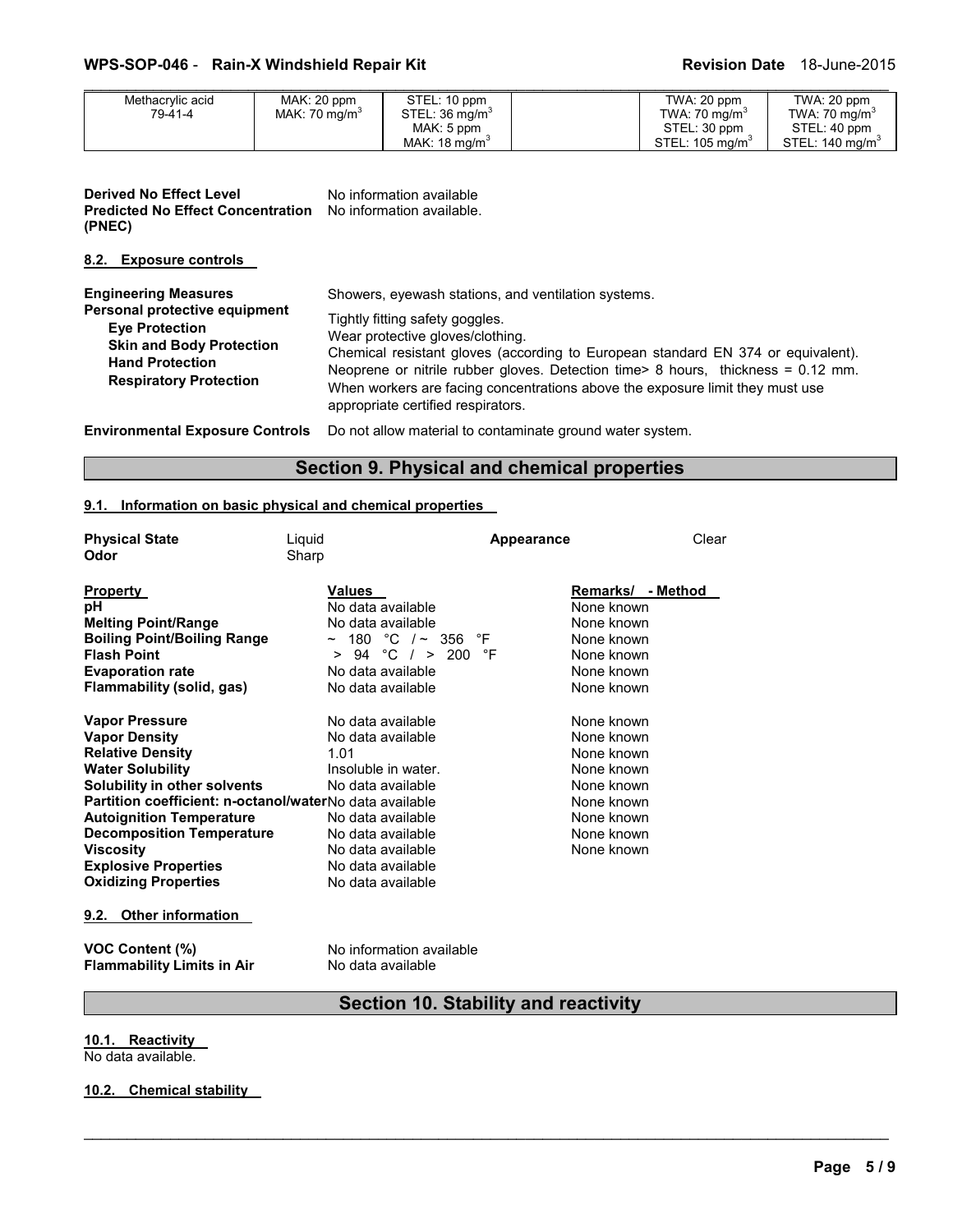### **WPS-SOP-046 - Rain-X Windshield Repair Kit Revision Date 18-June-2015**

| Methacrylic acid | MAK: 20 ppm               | STEL: 10 ppm               | TWA: 20 ppm                | TWA: 20 ppm                |
|------------------|---------------------------|----------------------------|----------------------------|----------------------------|
| 79-41-4          | MAK: 70 mg/m <sup>3</sup> | STEL: 36 mg/m <sup>3</sup> | TWA: $70 \text{ mg/m}^3$   | TWA: 70 mg/m <sup>3</sup>  |
|                  |                           | MAK: 5 ppm                 | STEL: 30 ppm               | STEL: 40 ppm               |
|                  |                           | MAK: $18 \text{ ma/m}^3$   | STEL: $105 \text{ ma/m}^3$ | STEL: $140 \text{ ma/m}^3$ |

| <b>Derived No Effect Level</b>           | No information available  |
|------------------------------------------|---------------------------|
| <b>Predicted No Effect Concentration</b> | No information available. |
| (PNEC)                                   |                           |

### **8.2. Exposure controls**

| <b>Engineering Measures</b><br>Personal protective equipment<br><b>Eye Protection</b><br><b>Skin and Body Protection</b><br><b>Hand Protection</b><br><b>Respiratory Protection</b> | Showers, eyewash stations, and ventilation systems.<br>Tightly fitting safety goggles.<br>Wear protective gloves/clothing.<br>Chemical resistant gloves (according to European standard EN 374 or equivalent).<br>Neoprene or nitrile rubber gloves. Detection time> 8 hours, thickness = 0.12 mm.<br>When workers are facing concentrations above the exposure limit they must use<br>appropriate certified respirators. |
|-------------------------------------------------------------------------------------------------------------------------------------------------------------------------------------|---------------------------------------------------------------------------------------------------------------------------------------------------------------------------------------------------------------------------------------------------------------------------------------------------------------------------------------------------------------------------------------------------------------------------|
|                                                                                                                                                                                     | Environmentel Evanoure Centrele De net ellew meterial te centeminate excuse water evaters                                                                                                                                                                                                                                                                                                                                 |

**Environmental Exposure Controls** Do not allow material to contaminate ground water system.

### **Section 9. Physical and chemical properties**

### **9.1. Information on basic physical and chemical properties**

| <b>Physical State</b>                                   | Liquid                     | <b>Appearance</b> | Clear             |
|---------------------------------------------------------|----------------------------|-------------------|-------------------|
| Odor                                                    | Sharp                      |                   |                   |
| <b>Property</b>                                         | <b>Values</b>              |                   | Remarks/ - Method |
| pН                                                      | No data available          |                   | None known        |
| <b>Melting Point/Range</b>                              | No data available          |                   | None known        |
| <b>Boiling Point/Boiling Range</b>                      | $\sim$ 180 °C / $\sim$ 356 | °F                | None known        |
| <b>Flash Point</b>                                      | > 94 °C / > 200            | °F                | None known        |
| <b>Evaporation rate</b>                                 | No data available          |                   | None known        |
| Flammability (solid, gas)                               | No data available          |                   | None known        |
| <b>Vapor Pressure</b>                                   | No data available          |                   | None known        |
| <b>Vapor Density</b>                                    | No data available          |                   | None known        |
| <b>Relative Density</b>                                 | 1.01                       |                   | None known        |
| <b>Water Solubility</b>                                 | Insoluble in water.        |                   | None known        |
| Solubility in other solvents                            | No data available          |                   | None known        |
| Partition coefficient: n-octanol/waterNo data available |                            |                   | None known        |
| <b>Autoignition Temperature</b>                         | No data available          |                   | None known        |
| <b>Decomposition Temperature</b>                        | No data available          |                   | None known        |
| <b>Viscosity</b>                                        | No data available          |                   | None known        |
| <b>Explosive Properties</b>                             | No data available          |                   |                   |
| <b>Oxidizing Properties</b>                             | No data available          |                   |                   |
| <b>Other information</b><br>9.2.                        |                            |                   |                   |
| <b>VOC Content (%)</b>                                  | No information available   |                   |                   |
| <b>Flammability Limits in Air</b>                       | No data available          |                   |                   |

## **Section 10. Stability and reactivity**

\_\_\_\_\_\_\_\_\_\_\_\_\_\_\_\_\_\_\_\_\_\_\_\_\_\_\_\_\_\_\_\_\_\_\_\_\_\_\_\_\_\_\_\_\_\_\_\_\_\_\_\_\_\_\_\_\_\_\_\_\_\_\_\_\_\_\_\_\_\_\_\_\_\_\_\_\_\_\_\_\_\_\_\_\_\_\_\_\_\_\_\_\_

**10.1. Reactivity** 

No data available.

### **10.2. Chemical stability**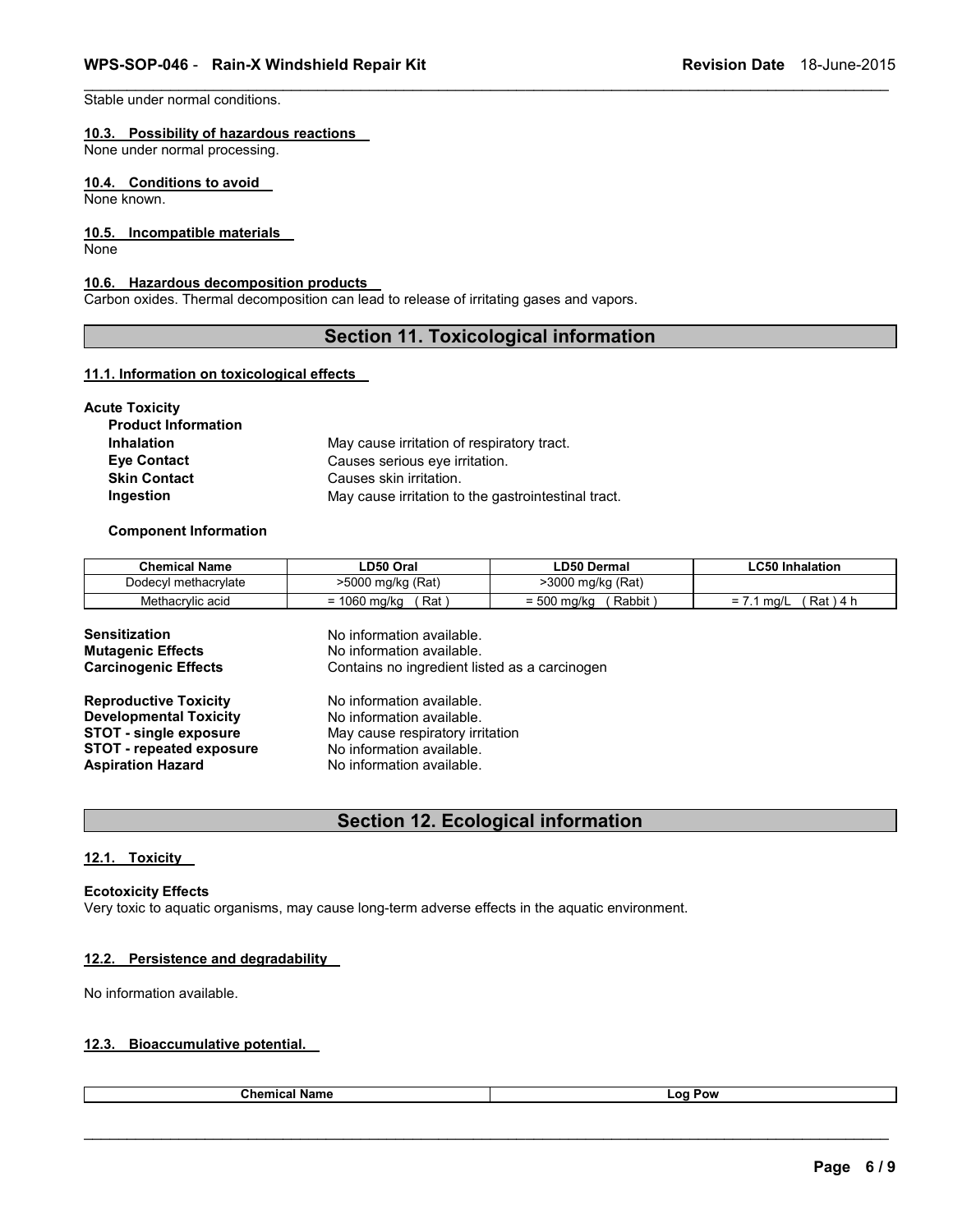Stable under normal conditions. 

### **10.3. Possibility of hazardous reactions**

None under normal processing. 

### **10.4. Conditions to avoid**

None known.

### **10.5. Incompatible materials**

None

### **10.6. Hazardous decomposition products**

Carbon oxides. Thermal decomposition can lead to release of irritating gases and vapors.

### **Section 11. Toxicological information**

\_\_\_\_\_\_\_\_\_\_\_\_\_\_\_\_\_\_\_\_\_\_\_\_\_\_\_\_\_\_\_\_\_\_\_\_\_\_\_\_\_\_\_\_\_\_\_\_\_\_\_\_\_\_\_\_\_\_\_\_\_\_\_\_\_\_\_\_\_\_\_\_\_\_\_\_\_\_\_\_\_\_\_\_\_\_\_\_\_\_\_\_\_

#### **11.1. Information on toxicological effects**

| Acute Toxicity             |                                                     |
|----------------------------|-----------------------------------------------------|
| <b>Product Information</b> |                                                     |
| <b>Inhalation</b>          | May cause irritation of respiratory tract.          |
| <b>Eye Contact</b>         | Causes serious eye irritation.                      |
| <b>Skin Contact</b>        | Causes skin irritation.                             |
| Ingestion                  | May cause irritation to the gastrointestinal tract. |

### **Component Information**

| <b>Chemical Name</b> | LD50 Oral                 | <b>LD50 Dermal</b> | <b>LC50 Inhalation</b> |
|----------------------|---------------------------|--------------------|------------------------|
| Dodecyl methacrylate | >5000 mg/kg (Rat)         | >3000 mg/kg (Rat)  |                        |
| Methacrylic acid     | Rat \                     | Rabbit             | Rat 14 h               |
|                      | = 1060 mg/kg              | = 500 mg/kg        | $= 7.1$ ma/L           |
| <b>Sensitization</b> | No information available. |                    |                        |
| Mutogonic Effects    | No information quailable  |                    |                        |

| <b>Mutagenic Effects</b>        | No information available.                     |
|---------------------------------|-----------------------------------------------|
| <b>Carcinogenic Effects</b>     | Contains no ingredient listed as a carcinogen |
| <b>Reproductive Toxicity</b>    | No information available.                     |
| <b>Developmental Toxicity</b>   | No information available.                     |
| <b>STOT - single exposure</b>   | May cause respiratory irritation              |
| <b>STOT - repeated exposure</b> | No information available.                     |
| <b>Aspiration Hazard</b>        | No information available.                     |

### **Section 12. Ecological information**

#### **12.1. Toxicity**

### **Ecotoxicity Effects**

Very toxic to aquatic organisms, may cause long-term adverse effects in the aquatic environment.

### **12.2. Persistence and degradability**

No information available.

### **12.3. Bioaccumulative potential.**

| Chemi<br>Name<br>. | റ്റ<br>ow<br>--<br>. |
|--------------------|----------------------|
|                    |                      |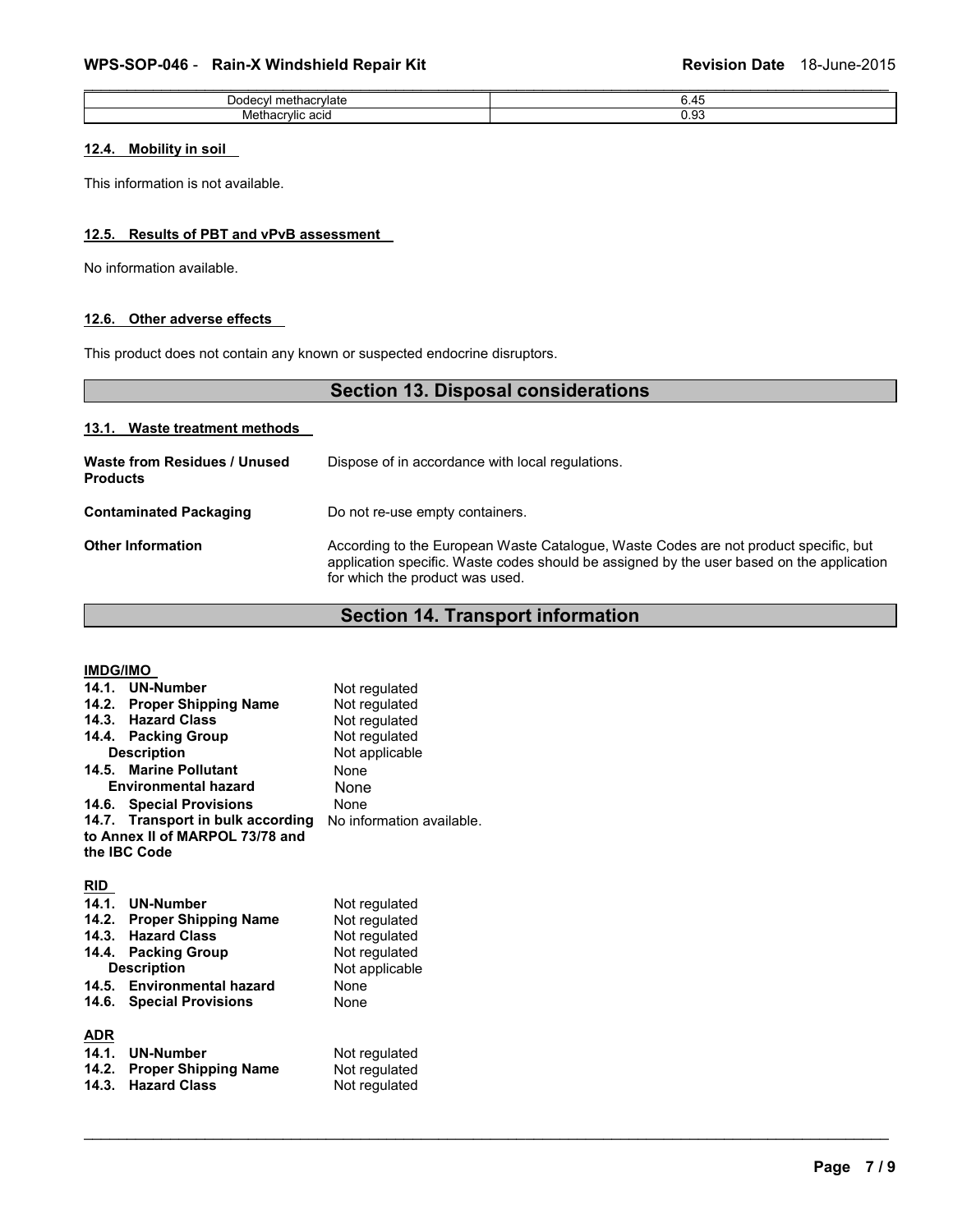### WPS-SOP-046 - Rain-X Windshield Repair Kit **Revision Date 18-June-2015**

| l methacrvlate<br>Dodecvi | 6.45 |
|---------------------------|------|
| Methacrylic acid          | 0.93 |
|                           |      |

### **12.4. Mobility in soil**

This information is not available.

### **12.5. Results of PBT and vPvB assessment**

No information available.

### **12.6. Other adverse effects**

This product does not contain any known or suspected endocrine disruptors.

| <b>Section 13. Disposal considerations</b>      |                                                                                                                                                                                                                      |  |
|-------------------------------------------------|----------------------------------------------------------------------------------------------------------------------------------------------------------------------------------------------------------------------|--|
| 13.1. Waste treatment methods                   |                                                                                                                                                                                                                      |  |
| Waste from Residues / Unused<br><b>Products</b> | Dispose of in accordance with local regulations.                                                                                                                                                                     |  |
| <b>Contaminated Packaging</b>                   | Do not re-use empty containers.                                                                                                                                                                                      |  |
| <b>Other Information</b>                        | According to the European Waste Catalogue, Waste Codes are not product specific, but<br>application specific. Waste codes should be assigned by the user based on the application<br>for which the product was used. |  |

## **Section 14. Transport information**

| <b>IMDG/IMO</b>    |                                   |                           |
|--------------------|-----------------------------------|---------------------------|
|                    | 14.1. UN-Number                   | Not regulated             |
|                    | 14.2. Proper Shipping Name        | Not regulated             |
|                    | 14.3. Hazard Class                | Not regulated             |
|                    | 14.4. Packing Group               | Not regulated             |
| <b>Description</b> |                                   | Not applicable            |
|                    | 14.5. Marine Pollutant            | <b>None</b>               |
|                    | <b>Environmental hazard</b>       | None                      |
|                    | 14.6. Special Provisions          | <b>None</b>               |
|                    | 14.7. Transport in bulk according | No information available. |
|                    | to Annex II of MARPOL 73/78 and   |                           |
|                    | the IBC Code                      |                           |
|                    |                                   |                           |
| RID                |                                   |                           |
|                    | 14.1. UN-Number                   | Not regulated             |
|                    | 14.2. Proper Shipping Name        | Not regulated             |
|                    | 14.3. Hazard Class                | Not regulated             |
|                    | 14.4. Packing Group               | Not regulated             |
|                    | <b>Description</b>                | Not applicable            |
|                    | 14.5. Environmental hazard        | <b>None</b>               |
| 14.6.              | <b>Special Provisions</b>         | None                      |
|                    |                                   |                           |
| <u>ADR</u>         |                                   |                           |
|                    | 14.1. UN-Number                   | Not regulated             |
|                    | 14.2. Proper Shipping Name        | Not regulated             |
| 14.3.              | <b>Hazard Class</b>               | Not regulated             |
|                    |                                   |                           |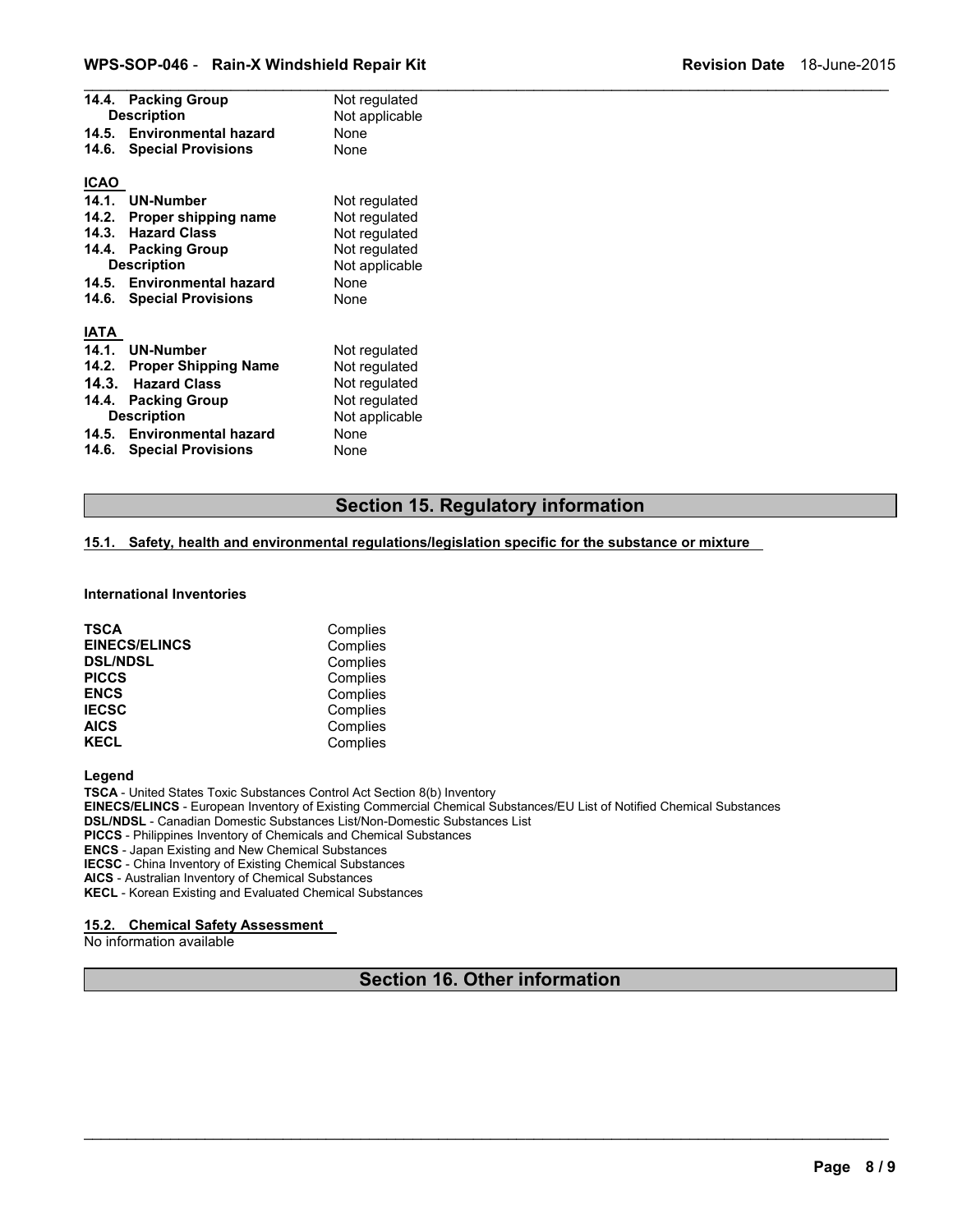### **WPS-SOP-046 - Rain-X Windshield Repair Kit New York Revision Date 18-June-2015**

|             | 14.4. Packing Group         | Not regulated  |  |
|-------------|-----------------------------|----------------|--|
|             | <b>Description</b>          | Not applicable |  |
| 14.5.       | <b>Environmental hazard</b> | None           |  |
| 14.6.       | <b>Special Provisions</b>   | None           |  |
| <b>ICAO</b> |                             |                |  |
| 14.1.       | <b>UN-Number</b>            | Not regulated  |  |
| 14.2.       | Proper shipping name        | Not regulated  |  |
| 14.3.       | <b>Hazard Class</b>         | Not regulated  |  |
| 14.4.       | <b>Packing Group</b>        | Not regulated  |  |
|             | <b>Description</b>          | Not applicable |  |
| 14.5.       | <b>Environmental hazard</b> | None           |  |
| 14.6.       | <b>Special Provisions</b>   | None           |  |
| <b>IATA</b> |                             |                |  |
| 14.1.       | <b>UN-Number</b>            | Not regulated  |  |
| 14.2.       | <b>Proper Shipping Name</b> | Not regulated  |  |
| 14.3.       | <b>Hazard Class</b>         | Not regulated  |  |
| 14.4.       | <b>Packing Group</b>        | Not regulated  |  |
|             | <b>Description</b>          | Not applicable |  |
| 14.5.       | <b>Environmental hazard</b> | None           |  |
| 14.6.       | <b>Special Provisions</b>   | None           |  |
|             |                             |                |  |

### **Section 15. Regulatory information**

### **15.1. Safety, health and environmental regulations/legislation specific for the substance or mixture**

#### **International Inventories**

| <b>TSCA</b>          | Complies |
|----------------------|----------|
| <b>EINECS/ELINCS</b> | Complies |
| <b>DSL/NDSL</b>      | Complies |
| <b>PICCS</b>         | Complies |
| <b>ENCS</b>          | Complies |
| <b>IECSC</b>         | Complies |
| <b>AICS</b>          | Complies |
| <b>KECL</b>          | Complies |

#### **Legend**

**TSCA** - United States Toxic Substances Control Act Section 8(b) Inventory **EINECS/ELINCS** - European Inventory of Existing Commercial Chemical Substances/EU List of Notified Chemical Substances **DSL/NDSL** - Canadian Domestic Substances List/Non-Domestic Substances List **PICCS** - Philippines Inventory of Chemicals and Chemical Substances **ENCS** - Japan Existing and New Chemical Substances **IECSC** - China Inventory of Existing Chemical Substances **AICS** - Australian Inventory of Chemical Substances

**KECL** - Korean Existing and Evaluated Chemical Substances 

#### **15.2. Chemical Safety Assessment**

No information available

### **Section 16. Other information**